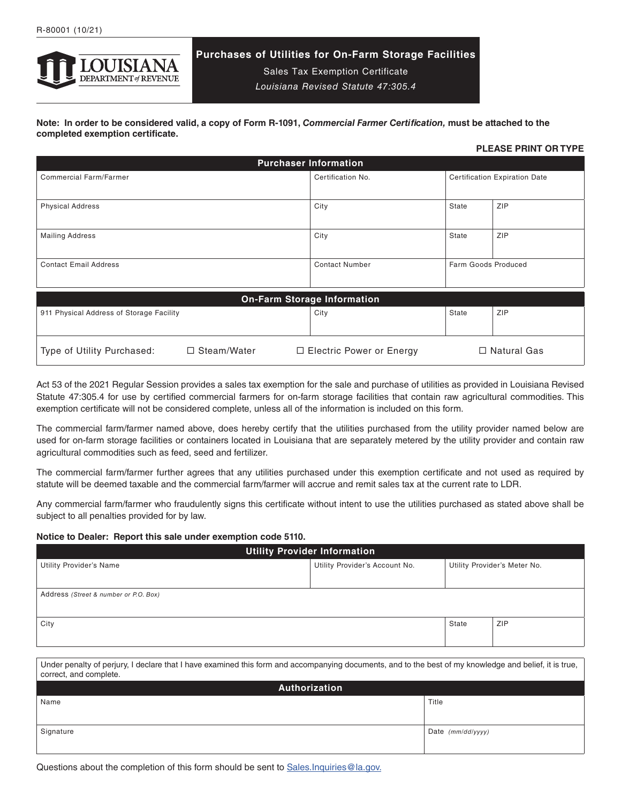

# **Purchases of Utilities for On-Farm Storage Facilities**

Sales Tax Exemption Certificate *Louisiana Revised Statute 47:305.4*

**Note: In order to be considered valid, a copy of Form R-1091,** *Commercial Farmer Certification,* **must be attached to the completed exemption certificate.**

# **PLEASE PRINT OR TYPE**

| <b>Purchaser Information</b>                                                                    |                       |                                      |     |  |
|-------------------------------------------------------------------------------------------------|-----------------------|--------------------------------------|-----|--|
| <b>Commercial Farm/Farmer</b>                                                                   | Certification No.     | <b>Certification Expiration Date</b> |     |  |
|                                                                                                 |                       |                                      |     |  |
| <b>Physical Address</b>                                                                         | City                  | State                                | ZIP |  |
|                                                                                                 |                       |                                      |     |  |
| <b>Mailing Address</b>                                                                          | City                  | State                                | ZIP |  |
|                                                                                                 |                       |                                      |     |  |
| <b>Contact Email Address</b>                                                                    | <b>Contact Number</b> | Farm Goods Produced                  |     |  |
|                                                                                                 |                       |                                      |     |  |
| <b>On-Farm Storage Information</b>                                                              |                       |                                      |     |  |
| 911 Physical Address of Storage Facility                                                        | City                  | State                                | ZIP |  |
|                                                                                                 |                       |                                      |     |  |
| $\Box$ Steam/Water<br>□ Natural Gas<br>Type of Utility Purchased:<br>□ Electric Power or Energy |                       |                                      |     |  |

Act 53 of the 2021 Regular Session provides a sales tax exemption for the sale and purchase of utilities as provided in Louisiana Revised Statute 47:305.4 for use by certified commercial farmers for on-farm storage facilities that contain raw agricultural commodities. This exemption certificate will not be considered complete, unless all of the information is included on this form.

The commercial farm/farmer named above, does hereby certify that the utilities purchased from the utility provider named below are used for on-farm storage facilities or containers located in Louisiana that are separately metered by the utility provider and contain raw agricultural commodities such as feed, seed and fertilizer.

The commercial farm/farmer further agrees that any utilities purchased under this exemption certificate and not used as required by statute will be deemed taxable and the commercial farm/farmer will accrue and remit sales tax at the current rate to LDR.

Any commercial farm/farmer who fraudulently signs this certificate without intent to use the utilities purchased as stated above shall be subject to all penalties provided for by law.

# **Notice to Dealer: Report this sale under exemption code 5110.**

| <b>Utility Provider Information</b>                                                                                                                                              |                                |                   |                              |  |  |
|----------------------------------------------------------------------------------------------------------------------------------------------------------------------------------|--------------------------------|-------------------|------------------------------|--|--|
| <b>Utility Provider's Name</b>                                                                                                                                                   | Utility Provider's Account No. |                   | Utility Provider's Meter No. |  |  |
|                                                                                                                                                                                  |                                |                   |                              |  |  |
| Address (Street & number or P.O. Box)                                                                                                                                            |                                |                   |                              |  |  |
|                                                                                                                                                                                  |                                |                   |                              |  |  |
| City                                                                                                                                                                             |                                | State             | ZIP                          |  |  |
|                                                                                                                                                                                  |                                |                   |                              |  |  |
|                                                                                                                                                                                  |                                |                   |                              |  |  |
| Under penalty of perjury, I declare that I have examined this form and accompanying documents, and to the best of my knowledge and belief, it is true,<br>correct, and complete. |                                |                   |                              |  |  |
| Authorization                                                                                                                                                                    |                                |                   |                              |  |  |
| Name                                                                                                                                                                             |                                | Title             |                              |  |  |
|                                                                                                                                                                                  |                                |                   |                              |  |  |
| Signature                                                                                                                                                                        |                                | Date (mm/dd/yyyy) |                              |  |  |
|                                                                                                                                                                                  |                                |                   |                              |  |  |

Questions about the completion of this form should be sent to Sales.Inquiries@la.gov.